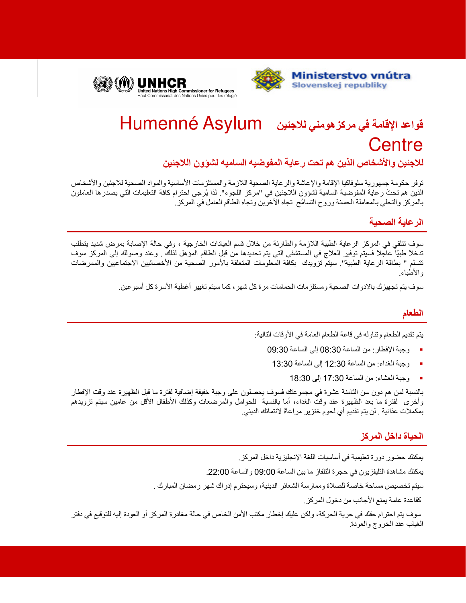



# قواعد الإقامة في مركز هومني للاجئين Humenné Asylum Centre

للاجئين والأشخاص الذين هم تحت رعاية المفوضيه الساميه لشوون اللاجئين

توفر حكومة جمهورية سلوفاكيا الإقامة والإعاشة والرعاية الصحية اللازمة والمستلزمات الأساسية والمواد الصحية للاجئين والأشخاص الذين هم تحتَ رعاية المفوضية السامية لشؤون اللاجئين في "مركز اللجوء". لذا يُرجى احترام كافة التعليمات التي يصدرها العاملون بالمركز والتحلي بالمعاملة الحسنة وروح التسامُح تجاه الأخرين وتجاه الطاقم العامل في المركز ِ

## الرعاية الصحية

سوف تتلقى في المركز الرعاية الطبية اللازمة والطارئة من خلال قسم العيادات الخارجية ، وفي حالة الإصابة بمرض شديد يتطلب تدخلاً طبيًا عاجلاً فسيتم توفير العلاج في المستشفى التي يتم تحديدها من قبل الطاقم المؤهل لذلكَ ¸ وعند وصولك إلى المركز سوف نتسلم " بطاقة الرعاية الطبية" سيتمّ نزويدك بكافة المعلومات المتعلقة بالأمور الصحية من الأخصائيين الاجتماعيين والممرضات والأطباء

سوف يتم تجهيز ك بالادو ات الصحية و مسئلز مات الحمامات مر ة كل شهر ، كما سبتم تغيير أغطية الأسر ة كل أسبو عين ِ

## الطعام

يتم تقديم الطعام وتناوله في قاعة الطعام العامة في الأوقات التالية:

- وجبة الإفطار : من الساعة 08:30 إلى الساعة 09:30
	- وجبة الغداء: من الساعة 12:30 إلى الساعة 13:30
		- وجبة العشاء: من الساعة 17:30 إلى 18:30

بالنسبة لمن هم دون سن الثامنة عشرة في مجموعتك فسوف بحصلون على وجبة خفيفة إضافية لفترة ما قبل الظهيرة عند وقت الإفطار وأخرى لفترة ما بعد الظهيرة عند وقتّ الغداء، أما بالنسبة للحوامل والمرضعات وكذلك الأطفال الأقل من عامين سيتم تزويدهم بمكملات عذائية . لن يتم تقديم أي لحوم خنزير مر اعاةً لانتمائك الديني.

#### الحياة داخل المركز

يمكنك حضور دورة تعليمية في أساسيات اللغة الإنجليزية داخل المركز . يمكنك مشاهدة التليفزيون في حجرة التلفاز ما بين الساعة 09:00 والساعة 22:00. سيتم تخصيص مساحة خاصة للصلاة وممارسة الشعائر الدينية، وسيحترم إدراك شهر رمضان المبارك . كقاعدة عامة يمنع الأجانب من دخول المركز سوف يتم احترام حقك في حرية الحركة، ولكن عليك إخطار مكتب الأمن الخاص في حالة مغادرة المركز أو العودة إليه للتوقيع في دفتر

الغياب عند الخروج والعودة.